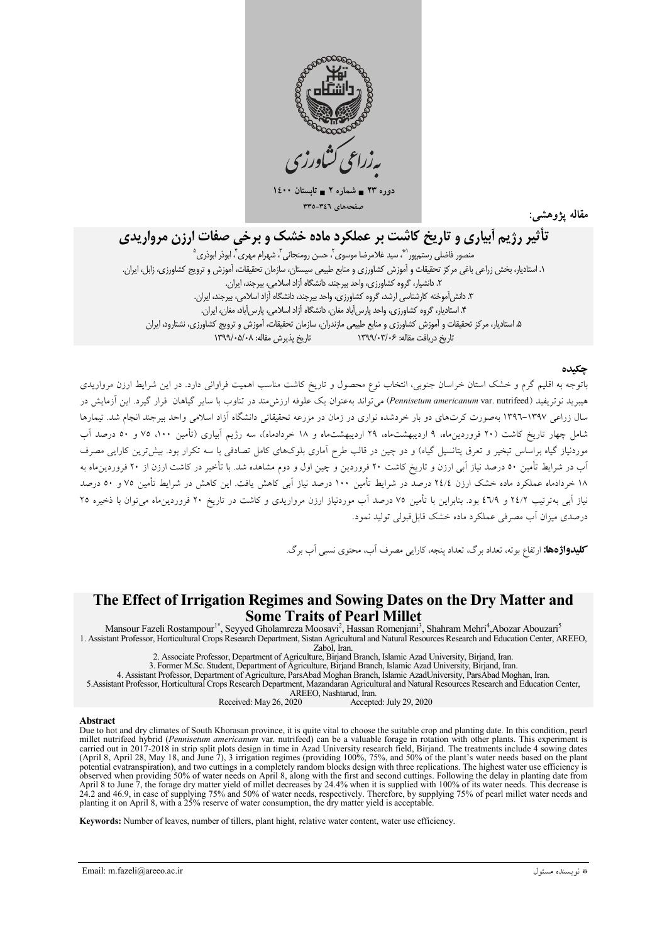

دورہ ۲۳ = شمارہ ۲ = تابہ صفحههای ٣٤٦-٣٣٥

مقاله يژوهشم

# تأثیر رژیم آبیاری و تاریخ کاشت بر عملکرد ماده خشک و برخی صفات ارزن مرواریدی

منصور فاضلی رستہ یور``ؓ، سید غلامرضا موسوی ؒ، حسن رومنجانی ؒ، شهرام مهری ؒ، ابوذر ابوذری ٛ ١. استاديار، بخش زراعي باغي مركز تحقيقات و آموزش كشاورزي و منابع طبيعي سيستان، سازمان تحقيقات، آموزش و ترويج كشاورزي، زابل، ايران. ٢. دانشیار، كروه كشاورزی، واحد بیرجند، دانشگاه آزاد اسلامی، بیرجند، ایران. ٣. دانش آموخته كارشناسي ارشد، گروه كشاورزي، واحد بيرجند، دانشگاه آزاد اسلامي، بيرجند، ايران. ۴. استادیار، گروه کشاورزی، واحد پارس آباد مغان، دانشگاه آزاد اسلامی، پارس آباد، مغان، ایران. ۵. استادیار، مرکز تحقیقات و آموزش کشاورزی و منابع طبیعی مازندران، سازمان تحقیقات، آموزش و ترویج کشاورزی، نشتارود، ایران تاریخ پذیرش مقاله: ۱۳۹۹/۰۵/۰۸ تاریخ در بافت مقاله: ۱۳۹۹/۰۳/۰۶

#### حكىدە

باتوجه به اقلیم گرم و خشک استان خراسان جنوبی، انتخاب نوع محصول و تاریخ کاشت مناسب اهمیت فراوانی دارد. در این شرایط ارزن مرواریدی هیبرید نوتریفید (Pennisetum americanum var. nutrifeed) می تواند بهعنوان یک علوفه ارزش مند در تناوب با سایر گیاهان قرار گیرد. این آزمایش در سال زراعی ۱۳۹۷–۱۳۹٦ بهصورت کرتهای دو بار خردشده نواری در زمان در مزرعه تحقیقاتی دانشگاه آزاد اسلامی واحد بیرجند انجام شد. تیمارها شامل چهار تاریخ کاشت (۲۰ فروردین.ماه، ۹ اردیبهشت.ماه، ۲۹ اردیبهشت.ماه و ۱۸ خردادماه)، سه رژیم آبیاری (تأمین ۱۰۰، ۷۵ و ۵۰ درصد آب .<br>موردنیاز گیاه براساس تبخیر و تعرق پتانسیل گیاه) و دو چین در قالب طرح آماری بلوکهای کامل تصادفی با سه تکرار بود. بیش ترین کارایی مصرف آب در شرایط تأمین ٥٠ درصد نیاز آبی ارزن و تاریخ کاشت ٢٠ فروردین و چین اول و دوم مشاهده شد. با تأخیر در کاشت ارزن از ٢٠ فروردین،اه به ۱۸ خردادماه عملکرد ماده خشک ارزن ۲٤/٤ درصد در شرایط تأمین ۱۰۰ درصد نیاز آبی کاهش یافت. این کاهش در شرایط تأمین ۷۵ و ۵۰ درصد نیاز آبه بهترتیب ۲٤/۲ و ۲/۹، بود. بنابراین با تأمین ۷۵ درصد آب موردنیاز ارزن مرواریدی و کاشت در تاریخ ۲۰ فروردینهاه می توان با ذخیره ۲۵ درصدی میزان آب مصرفی عملکرد ماده خشک قابل قبولی تولید نمود.

**کلیدواژهها:** ارتفاع بوته، تعداد برگ، تعداد پنجه، کارای<sub>،</sub> مصرف آب، محتوی نسب<sub>ی</sub> آب برگ.

# The Effect of Irrigation Regimes and Sowing Dates on the Dry Matter and **Some Traits of Pearl Millet**

Mansour Fazeli Rostampour<sup>1\*</sup>, Seyyed Gholamreza Moosavi<sup>2</sup>, Hassan Romenjani<sup>3</sup>, Shahram Mehri<sup>4</sup>, Abozar Abouzari<sup>5</sup> 1. Assistant Professor, Horticultural Crops Research Department, Sistan Agricultural and Natural Resources Research and Education Center, AREEO,

Zabol, Iran.

2. Associate Professor, Department of Agriculture, Birjand Branch, Islamic Azad University, Birjand, Iran.

3. Former M.Sc. Student, Department of Agriculture, Birjand Branch, Islamic Azad University, Birjand, Iran.<br>4. Assistant Professor, Department of Agriculture, ParsAbad Moghan Branch, Islamic Azad University, ParsAbad Mogha

AREEO, Nashtarud, Iran.

Received: May 26, 2020 Accepted: July 29, 2020

#### Abstract

The to hot and dry climates of South Khorasan province, it is quite vital to choose the suitable crop and planting date. In this condition, pearl millet nutrified hybrid (*Pennisetum americanum* var. nutrified) can be a va carried out in 2017-2018 in strip split plots design in time in Azad University research field, Birjand. The treatments include 4 sowing dates (April 8, April 28, May 18, and June 7), 3 irrigation regimes (providing 100%, 75%, and 50% of the plant's water needs based on the plant potential evatranspiration), and two cuttings in a completely random blocks design with three replications. The highest water use efficiency is bestered when providing 50% of water needs on April 8, along with the first and second cuttings. Following the delay in planting date from<br>April 8 to June 7, the forage dry matter yield of millet decreases by 24.4% when it

Keywords: Number of leaves, number of tillers, plant hight, relative water content, water use efficiency.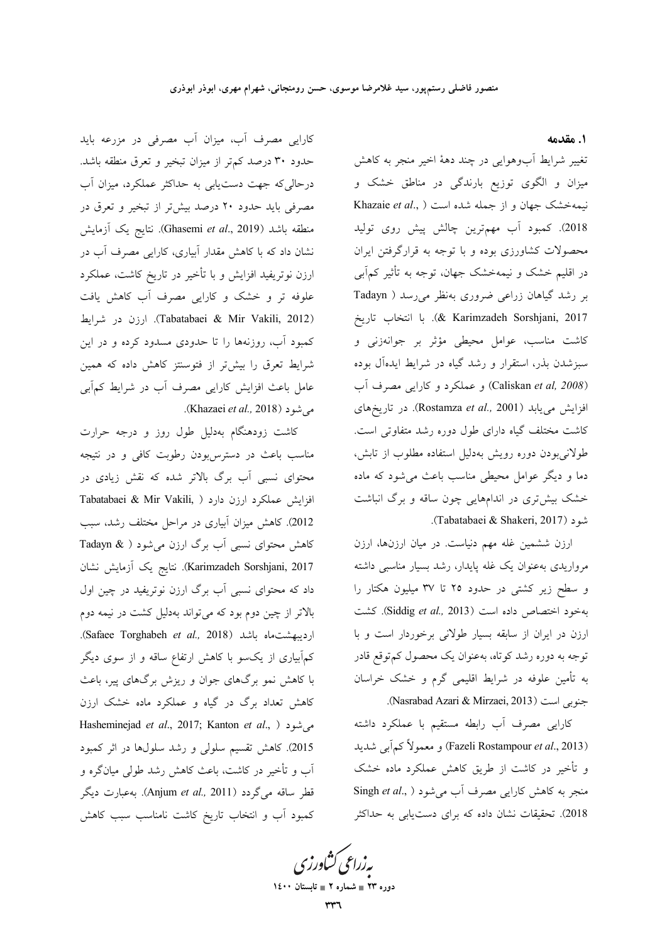١. مقدمه

تغییر شرایط أبوهوایی در چند دههٔ اخیر منجر به کاهش میزان و الگوی توزیع بارندگی در مناطق خشک و Khazaie et al., ) نیمهخشک جهان و از جمله شده است 2018). كمبود آب مهمترين چالش پيش روى توليد محصولات کشاورزی بوده و با توجه به قرارگرفتن ایران در اقلیم خشک و نیمهخشک جهان، توجه به تأثیر کمآبی بر رشد گیاهان زراعی ضروری بهنظر می رسد ( Tadayn 2017). با انتخاب تاريخ (& Karimzadeh Sorshjani, 2017 كاشت مناسب، عوامل محيطى مؤثر بر جوانهزنى و سبزشدن بذر، استقرار و رشد گیاه در شرایط ایدهآل بوده (Caliskan et al, 2008) و عملکرد و کارایی مصرف آب افزایش مییابد (Rostamza et al., 2001). در تاریخهای کاشت مختلف گیاه دارای طول دوره رشد متفاوتی است. طولانی بودن دوره رویش بهدلیل استفاده مطلوب از تابش، دما و دیگر عوامل محیطی مناسب باعث میشود که ماده خشک بیشتری در اندامهایی چون ساقه و برگ انباشت .(Tabatabaei & Shakeri, 2017).

ارزن ششمین غله مهم دنیاست. در میان ارزنها، ارزن مرواریدی به عنوان یک غله پایدار، رشد بسیار مناسبی داشته و سطح زیر کشتی در حدود ۲۵ تا ۳۷ میلیون هکتار را بهخود اختصاص داده است (Siddig et al., 2013). كشت ارزن در ایران از سابقه بسیار طولانی برخوردار است و با توجه به دوره رشد کوتاه، بهعنوان یک محصول کم توقع قادر به تأمین علوفه در شرایط اقلیمی گرم و خشک خراسان .(Nasrabad Azari & Mirzaei, 2013).

کارایی مصرف آب رابطه مستقیم با عملکرد داشته (Fazeli Rostampour *et al.*, 2013) و معمولاً كمآبي شديد و تأخیر در کاشت از طریق کاهش عملکرد ماده خشک منجر به كاهش كارايي مصرف آب مي شود ( ,.Singh et al 2018). تحقیقات نشان داده که برای دستیابی به حداکثر

کارایی مصرف آب، میزان آب مصرفی در مزرعه باید حدود ۳۰ درصد کمتر از میزان تبخیر و تعرق منطقه باشد. درحالی که جهت دست یابی به حداکثر عملکرد، میزان آب مصرفی باید حدود ۲۰ درصد بیش تر از تبخیر و تعرق در منطقه باشد (Ghasemi *et al.*, 2019). نتايج يک آزمايش نشان داد که با کاهش مقدار آبیاری، کارایی مصرف آب در ارزن نوتریفید افزایش و با تأخیر در تاریخ کاشت، عملکرد علوفه تر و خشک و کارایی مصرف آب کاهش یافت (Tabatabaei & Mir Vakili, 2012). ارزن در شرايط کمبود آب، روزنهها را تا حدودی مسدود کرده و در این شرایط تعرق را بیشتر از فتوسنتز کاهش داده که همین عامل باعث افزایش کارایی مصرف آب در شرایط کمآبی می شود (Khazaei *et al.,* 2018).

کاشت زودهنگام بهدلیل طول روز و درجه حرارت مناسب باعث در دسترس بودن رطوبت کافی و در نتیجه محتوای نسبی آب برگ بالاتر شده که نقش زیادی در Tabatabaei & Mir Vakili, ) افزایش عملکرد ارزن دارد 2012). كاهش ميزان آبياري در مراحل مختلف رشد، سبب کاهش محتوای نسبی آب برگ ارزن میشود ( & Tadayn Karimzadeh Sorshjani, 2017). نتايج يک آزمايش نشان داد که محتوای نسبی آب برگ ارزن نوتریفید در چین اول بالاتر از چین دوم بود که می تواند بهدلیل کشت در نیمه دوم ارديبهشت ماه باشد (Safaee Torghabeh et al., 2018). کمآبیاری از یکسو با کاهش ارتفاع ساقه و از سوی دیگر با کاهش نمو برگهای جوان و ریزش برگهای پیر، باعث کاهش تعداد برگ در گیاه و عملکرد ماده خشک ارزن Hasheminejad et al., 2017; Kanton et al., ) می شود 2015). کاهش تقسیم سلولی و رشد سلولها در اثر کمبود آب و تأخیر در کاشت، باعث کاهش رشد طولی میانگره و قطر ساقه میگردد (Anjum et al., 2011). به عبارت دیگر کمبود آب و انتخاب تاریخ کاشت نامناسب سبب کاهش

ىەزرا<sup>عى ك</sup>شادرزى

دوره ۲۳ = شماره ۲ = تابستان ۱٤۰۰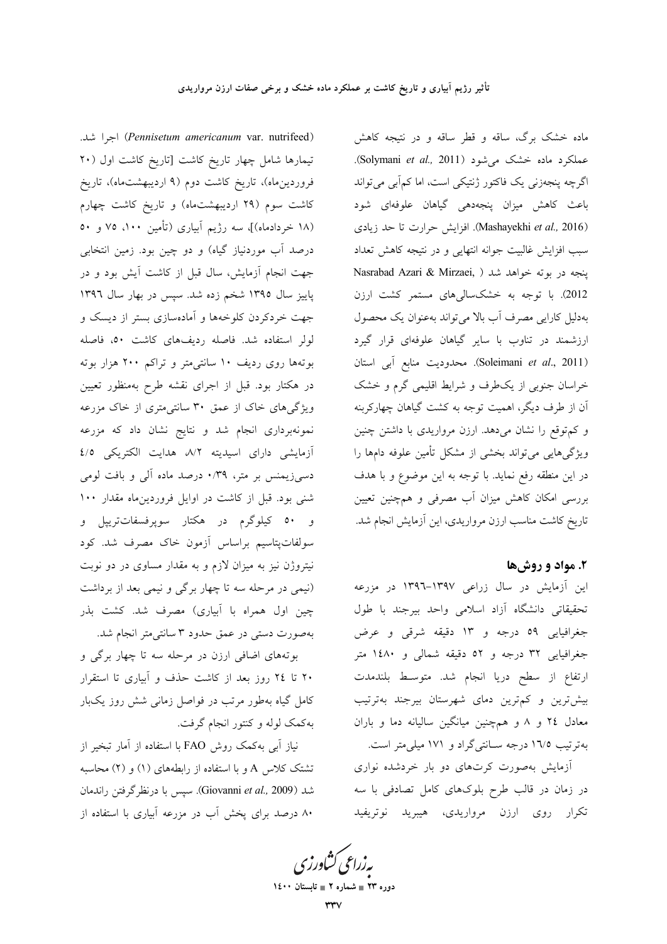(Pennisetum americanum var. nutrifeed) اجرا شد. تیمارها شامل چهار تاریخ کاشت [تاریخ کاشت اول (۲۰ فروردینِماه)، تاریخ کاشت دوم (۹ اردیبهشتماه)، تاریخ کاشت سوم (۲۹ اردیبهشتماه) و تاریخ کاشت چهارم (۱۸ خردادماه)]، سه رژیم آبیاری (تأمین ۱۰۰، ۷۵ و ۵۰ درصد آب موردنیاز گیاه) و دو چین بود. زمین انتخابی جهت انجام آزمایش، سال قبل از کاشت اَیش بود و در پاییز سال ۱۳۹۵ شخم زده شد. سپس در بهار سال ۱۳۹۲ جهت خردکردن کلوخهها و آمادهسازی بستر از دیسک و لولر استفاده شد. فاصله رديفهاي كاشت ٥٠، فاصله بوتهها روی ردیف ۱۰ سانتی متر و تراکم ۲۰۰ هزار بوته در هکتار بود. قبل از اجرای نقشه طرح بهمنظور تعیین ویژگیهای خاک از عمق ۳۰ سانتیمتری از خاک مزرعه نمونهبرداری انجام شد و نتایج نشان داد که مزرعه آزمایشی دارای اسیدیته ۸/۲ هدایت الکتریکی ٤/٥ دسمیزیمنس بر متر، ۰/۳۹ درصد ماده آلی و بافت لومی شنی بود. قبل از کاشت در اوایل فروردینِماه مقدار ۱۰۰ و <mark>٥٠</mark> کیلوگرم در هکتار سوپرفسفاتترییل و سولفاتپتاسیم براساس آزمون خاک مصرف شد. کود نیتروژن نیز به میزان لازم و به مقدار مساوی در دو نوبت (نیمی در مرحله سه تا چهار برگی و نیمی بعد از برداشت چین اول همراه با آبیاری) مصرف شد. کشت بذر بهصورت دستی در عمق حدود ۳ سانتی متر انجام شد.

بوتههای اضافی ارزن در مرحله سه تا چهار برگی و ۲۰ تا ۲٤ روز بعد از كاشت حذف و آبياري تا استقرار کامل گیاه بهطور مرتب در فواصل زمانی شش روز یکبار بهکمک لوله و کنتور انجام گرفت.

نیاز آب<sub>ی</sub> بهکمک روش FAO با استفاده از آمار تبخیر از تشتک کلاس A و با استفاده از رابطههای (۱) و (۲) محاسبه شد (Giovanni et al., 2009). سيس با درنظر گرفتن راندمان ۸۰ درصد برای یخش آب در مزرعه آبیاری با استفاده از

ماده خشک برگ، ساقه و قطر ساقه و در نتیجه کاهش عملکرد ماده خشک می شود (Solymani et al., 2011). اگرچه پنجهزنی یک فاکتور ژنتیکی است، اما کمآبی می تواند باعث کاهش میزان پنجهدهی گیاهان علوفهای شود (Mashayekhi et al., 2016). افزایش حرارت تا حد زیادی سبب افزایش غالبیت جوانه انتهایی و در نتیجه کاهش تعداد Nasrabad Azari & Mirzaei, ) ينجه در بوته خواهد شد 2012). با توجه به خشکسالیهای مستمر کشت ارزن بهدلیل کارایی مصرف آب بالا میتواند بهعنوان یک محصول ارزشمند در تناوب با سایر گیاهان علوفهای قرار گیرد (Soleimani et al., 2011). محدوديت منابع آبي استان خراسان جنوبی از یکطرف و شرایط اقلیمی گرم و خشک آن از طرف دیگر، اهمیت توجه به کشت گیاهان چهارکربنه و کم توقع را نشان میدهد. ارزن مرواریدی با داشتن چنین ویژگیهایی میتواند بخشی از مشکل تأمین علوفه دامها را در این منطقه رفع نماید. با توجه به این موضوع و با هدف بررسی امکان کاهش میزان آب مصرفی و همچنین تعیین تاریخ کاشت مناسب ارزن مرواریدی، این آزمایش انجام شد.

# ۲. مواد و روش ها

این آزمایش در سال زراعی ۱۳۹۷–۱۳۹۲ در مزرعه تحقیقاتی دانشگاه آزاد اسلامی واحد بیرجند با طول جغرافیایی ٥٩ درجه و ١٣ دقیقه شرقی و عرض جغرافیایی ۳۲ درجه و ٥٢ دقیقه شمالی و ١٤٨٠ متر ارتفاع از سطح دریا انجام شد. متوسط بلندمدت بیش ترین و کم ترین دمای شهرستان بیرجند بهترتیب معادل ٢٤ و ٨ و همچنين ميانگين ساليانه دما و باران بهترتیب ۱٦/٥ درجه سـانتیگراد و ۱۷۱ میلی متر است.

آزمایش بهصورت کرتهای دو بار خردشده نواری در زمان در قالب طرح بلوکهای کامل تصادفی با سه تکرار روی ارزن مرواریدی، هیبرید نوتریفید

یه زراعی کشاورزی

دوره ۲۳ = شماره ۲ = تابستان ۱٤۰۰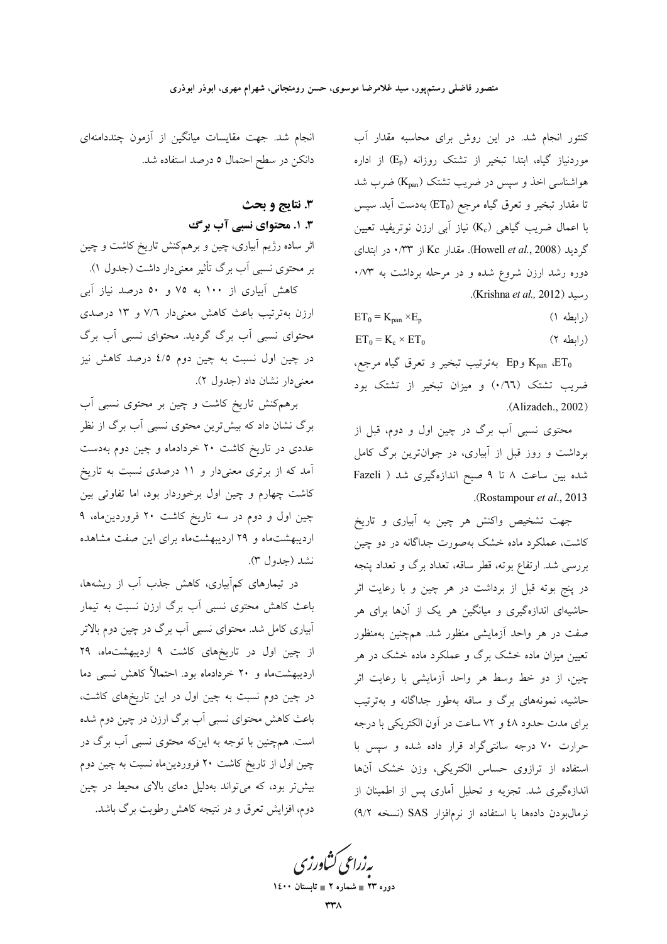کنتور انجام شد. در این روش برای محاسبه مقدار آب موردنیاز گیاه، ابتدا تبخیر از تشتک روزانه (E<sub>p</sub>) از اداره هواشناسی اخذ و سپس در ضریب تشتک (K<sub>pan</sub>) ضرب شد تا مقدار تبخیر و تعرق گیاه مرجع (ET<sub>0</sub>) بهدست آید. سپس با اعمال ضريب گياهي (Kc) نياز آبي ارزن نوتريفيد تعيين گردید (Howell et al., 2008). مقدار Kc از ۲۳۰ در ابتدای دوره رشد ارزن شروع شده و در مرحله برداشت به ۰/۷۳ رسيد (Krishna et al., 2012).

 $ET_0 = K_{pan} \times E_p$ (رابطه ۱)

 $ET_0 = K_c \times ET_0$  $(7 \text{ db}, )$ 

وEp بهترتيب تبخير و تعرق گياه مرجع، Ep و ضریب تشتک (۰/٦٦) و میزان تبخیر از تشتک بود .(Alizadeh., 2002)

محتوی نسبی آب برگ در چین اول و دوم، قبل از برداشت و روز قبل از آبیاری، در جوانترین برگ کامل شده بین ساعت ۸ تا ۹ صبح اندازهگیری شد ( Fazeli .(Rostampour et al., 2013).

جهت تشخیص واکنش هر چین به آبیاری و تاریخ کاشت، عملکرد ماده خشک بهصورت جداگانه در دو چین بررسی شد. ارتفاع بوته، قطر ساقه، تعداد برگ و تعداد پنجه در پنج بوته قبل از برداشت در هر چین و با رعایت اثر حاشیهای اندازهگیری و میانگین هر یک از آنها برای هر صفت در هر واحد آزمایشی منظور شد. همچنین بهمنظور تعیین میزان ماده خشک برگ و عملکرد ماده خشک در هر چین، از دو خط وسط هر واحد آزمایشی با رعایت اثر حاشیه، نمونههای برگ و ساقه بهطور جداگانه و بهترتیب برای مدت حدود ٤٨ و ٧٢ ساعت در آون الکتريکي با درجه حرارت ۷۰ درجه سانتی گراد قرار داده شده و سیس با استفاده از ترازوی حساس الکتریکی، وزن خشک آنها اندازهگیری شد. تجزیه و تحلیل آماری پس از اطمینان از نرمال بودن دادهها با استفاده از نرمافزار SAS (نسخه ۹/۲)

انجام شد. جهت مقایسات میانگین از آزمون چنددامنهای دانکن در سطح احتمال ٥ درصد استفاده شد.

# 3. نتايج و بحث

# ۳. ۱. محتوای نسبی آب برگ

اثر ساده رژیم آبیاری، چین و برهمکنش تاریخ کاشت و چین بر محتوی نسبی آب برگ تأثیر معنیدار داشت (جدول ۱).

کاهش آبیاری از ۱۰۰ به ۷۵ و ۵۰ درصد نیاز آبی ارزن بهترتیب باعث کاهش معنیدار ۷/٦ و ۱۳ درصدی محتوای نسبی آب برگ گردید. محتوای نسبی آب برگ در چین اول نسبت به چین دوم ٤/٥ درصد کاهش نیز معنىدار نشان داد (جدول ٢).

برهم کنش تاریخ کاشت و چین بر محتوی نسبی آب برگ نشان داد که بیشترین محتوی نسبی آب برگ از نظر عددی در تاریخ کاشت ۲۰ خردادماه و چین دوم بهدست آمد که از برتری معنیدار و ۱۱ درصدی نسبت به تاریخ کاشت چهارم و چین اول برخوردار بود، اما تفاوتی بین چین اول و دوم در سه تاریخ کاشت ۲۰ فروردین ماه، ۹ اردیبهشتماه و ۲۹ اردیبهشتماه برای این صفت مشاهده نشد (جدول ۳).

در تیمارهای کمآبیاری، کاهش جذب آب از ریشهها، باعث کاهش محتوی نسبی آب برگ ارزن نسبت به تیمار آبیاری کامل شد. محتوای نسبی آب برگ در چین دوم بالاتر از چین اول در تاریخهای کاشت ۹ اردیبهشتماه، ۲۹ اردیبهشتماه و ۲۰ خردادماه بود. احتمالاً کاهش نسبی دما در چین دوم نسبت به چین اول در این تاریخهای کاشت، باعث کاهش محتوای نسبی آب برگ ارزن در چین دوم شده است. همچنین با توجه به اینکه محتوی نسبی آب برگ در چین اول از تاریخ کاشت ۲۰ فروردین.اه نسبت به چین دوم بیش تر بود، که می تواند بهدلیل دمای بالای محیط در چین دوم، افزایش تعرق و در نتیجه کاهش رطوبت برگ باشد.

<mark>یه زراعی کشاورز</mark> ی

دوره ۲۳ = شماره ۲ = تابستان ۱٤۰۰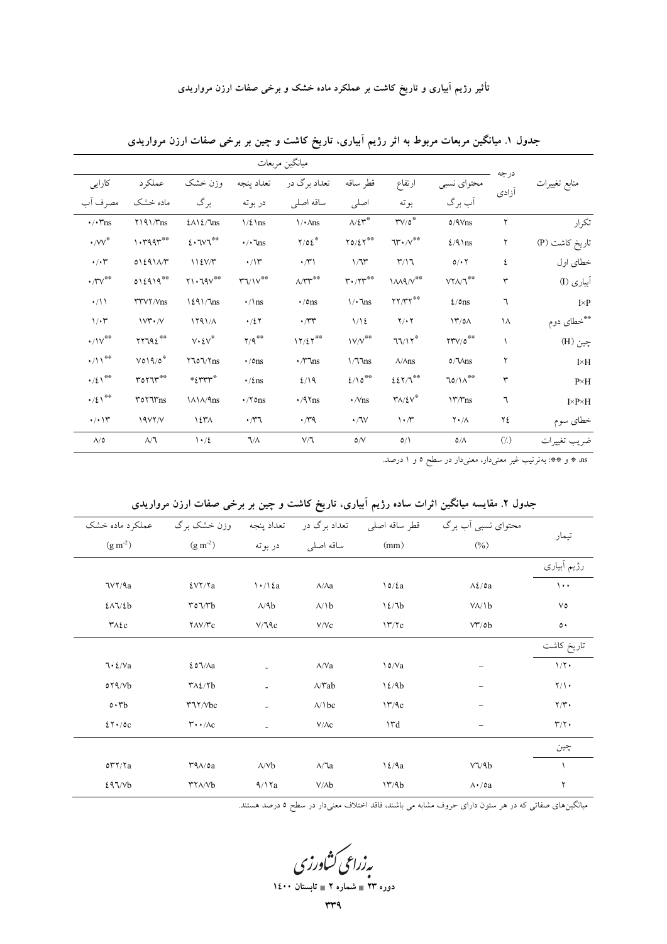|                                                                                      |                                                                       | ميانگين مربعات                       |                                                  |                                                                                        |                                               |                                                         |                                    |               |                       |  |  |  |  |  |
|--------------------------------------------------------------------------------------|-----------------------------------------------------------------------|--------------------------------------|--------------------------------------------------|----------------------------------------------------------------------------------------|-----------------------------------------------|---------------------------------------------------------|------------------------------------|---------------|-----------------------|--|--|--|--|--|
| كارايى                                                                               | عملکر د                                                               | وزن خشک                              | تعداد پنجه                                       | تعداد برگ در                                                                           | قطر ساقه                                      | ارتفاع                                                  | محتواي نسبي                        | درجه<br>آزادى | منابع تغييرات         |  |  |  |  |  |
| مصرف آب                                                                              | ماده خشک                                                              | برگ                                  | در بوته                                          | ساقه اصلى                                                                              | اصلبي                                         | بوته                                                    | آب برگ                             |               |                       |  |  |  |  |  |
| $\cdot/\cdot\mathsf{Y}$ ns                                                           | $Y$ 191/ $\gamma$ ns                                                  | $2\Lambda$ $2/\ln s$                 | $1/\xi$ \ns                                      | $\sqrt{\cdot \text{Ans}}$                                                              | $\wedge/\mathcal{E}\mathfrak{r}^*$            | $\mathsf{TV}/\mathfrak{o}^\ast$                         | $0/9V$ ns                          | ٢             | تكرار                 |  |  |  |  |  |
| $\boldsymbol{\cdot}$ /vv $\!$                                                        | $1.4994***$                                                           | $2.7v7***$                           | $\boldsymbol{\cdot}/\boldsymbol{\cdot}$ \ns      | $Y/OE^*$                                                                               | $\Upsilon\mathfrak{0}/\Sigma\Upsilon^{\# \#}$ | $\Upsilon\mathbf{W}\cdot/\mathbf{V}^{\ast\ast}$         | $\frac{2}{9}$ \ns                  | ٢             | تاريخ كاشت (P)        |  |  |  |  |  |
| $\cdot/\cdot$ ۳                                                                      | 01291AY                                                               | 112V/T                               | $\cdot/\Upsilon$                                 | $\cdot \pi$                                                                            | 1/T                                           | $\mathsf{r}/\mathsf{1}\mathsf{T}$                       | $0/\cdot 7$                        | ٤             | خطای اول              |  |  |  |  |  |
| $\cdot$ / $\hspace{-1.5mm}\raisebox{0.3mm}{\text{\circle*{1.5}}}\hspace{0.2mm}\cdot$ | $012919***$                                                           | $\gamma\cdot\gamma\gamma^{\ast\ast}$ | $\mathsf{r} \mathsf{v} / \mathsf{v}^{\ast \ast}$ | $\Lambda/\Upsilon\Upsilon^{\otimes\otimes}$                                            | $\mathbf{r} \cdot / \mathbf{r}^{\ast \ast}$   | $1/M$ ۹/ $V^{\# \#}$                                    | $VY\Lambda/T$                      | ٣             | آبیاری (I)            |  |  |  |  |  |
| $\cdot/11$                                                                           | <b>TTVY/Vns</b>                                                       | $1291/T$ ns                          | $\cdot$ /\ns                                     | $\cdot$ /0ns                                                                           | $\sqrt{\cdot \ln s}$                          | $\mathbf{Y} \mathbf{Y} / \mathbf{Y}^{\ast\ast}$         | $\frac{\epsilon}{\omega}$ ns       | ٦             | $I \times P$          |  |  |  |  |  |
| $1/\cdot 7$                                                                          | $\mathcal{W}^{\star} \cdot \mathcal{N}$                               | 1191/A                               | $\cdot/27$                                       | $\cdot \pi r$                                                                          | $1/\sqrt{2}$                                  | $Y/\cdot Y$                                             | $\frac{17}{0}$                     | ١٨            | **خطاي دوم            |  |  |  |  |  |
| $\cdot/\mathcal{W}^{\ast\ast}$                                                       | rr192                                                                 | $V \cdot \mathcal{E} V^*$            | $Y/Q^{\otimes \Phi}$                             | $\ensuremath{\mathcal{N}}/\ensuremath{\mathcal{E}}\ensuremath{\mathcal{N}}^{\ast\ast}$ | $1 \mathrm{V/V}^{\otimes \oplus}$             | 77/17                                                   | $\text{YTV}/\text{O}^{\text{max}}$ |               | چين (H)               |  |  |  |  |  |
| $\cdot/\mathcal{N}^{\ast\ast}$                                                       | $\vee \circ \vee \circ \circ$                                         | $Y\%Y\%$ ns                          | $\cdot$ /0ns                                     | $\cdot$ / $\gamma$ ns                                                                  | 1/77ns                                        | $\Lambda/\Lambda$ ns                                    | $0/\sqrt{M}$                       | ٢             | $I \times H$          |  |  |  |  |  |
| $\cdot/\xi$ \**                                                                      | $\mathop{\text{rot}}\nolimits\mathop{\text{rot}}\nolimits^{\ast\ast}$ | $*_{\xi}$ rrr                        | $\cdot$ /2ns                                     | 2/19                                                                                   | $\mathfrak{t}/\mathfrak{d}^{\ast\ast}$        | $\mathop{\rm E} \Sigma$                                 | $70/\Lambda^{\ast\ast}$            | ٣             | $P\times H$           |  |  |  |  |  |
| $\cdot/\xi$ \**                                                                      | r                                                                     | <b>\A\A/9ns</b>                      | $\cdot$ /۲ $\circ$ ns                            | $\cdot$ /97ns                                                                          | $\cdot$ /Vns                                  | $\mathsf{Y}\Lambda/\mathsf{\mathcal{E}}\mathsf{V}^\ast$ | $17/T$ ns                          | ٦             | $I \times P \times H$ |  |  |  |  |  |
| $\cdot/\cdot$ \r                                                                     | 19VY/V                                                                | ۱ ٤٣٨                                | $\cdot \pi$                                      | $\cdot \pi$                                                                            | $\cdot$ / $\vee$                              | $\mathcal{M}$                                           | $\mathsf{Y} \cdot / \mathsf{A}$    | ٢٤            | خطاى سوم              |  |  |  |  |  |
| $\Lambda/\mathsf{O}$                                                                 | $\wedge/\urcorner$                                                    | 1.12                                 | $\nabla/\Lambda$                                 | $V/\mathbb{I}$                                                                         | $\mathsf{d} \mathcal{N}$                      | $0/\lambda$                                             | $\mathsf{O}/\Lambda$               | $(\dot{a})$   | ضريب تغييرات          |  |  |  |  |  |

جدول ۱. میانگین مربعات مربوط به اثر رژیم آبیاری، تاریخ کاشت و چین بر برخی صفات ارزن مرواریدی

| عملکرد ماده خشک                        | وزن خشک برگ                                               | تعداد پنجه             | تعداد برگ در           | قطر ساقه اصلى      | محتوای نسبی آب برگ              |                       |  |
|----------------------------------------|-----------------------------------------------------------|------------------------|------------------------|--------------------|---------------------------------|-----------------------|--|
| $(g m^{-2})$                           | $(g m^{-2})$                                              | در بوته                | ساقه اصلى              | (mm)               | $(\%)$                          | تيمار                 |  |
|                                        |                                                           |                        |                        |                    |                                 | رژیم اَبیاری          |  |
| ٦٧٢/٩a                                 | $EV\Upsilon/Ta$                                           | $\binom{1 + 1}{2}$     | $\Lambda/\Lambda a$    | $\frac{\delta}{2}$ | $\Lambda\Sigma/\mathfrak{0a}$   | $\cdots$              |  |
| $2\lambda\sqrt{2}b$                    | $r \circ \sqrt{r} b$                                      | $\Lambda/\mathcal{A}b$ | $\lambda/b$            | 12/7b              | $V/\lambda/b$                   | $V\circ$              |  |
| $Y \wedge \epsilon$ c                  | $\gamma$ $\Lambda$ $\gamma$ $\gamma$ $\alpha$             | V/T9c                  | V/Vc                   | 17/7c              | VT/ob                           | $\circ \cdot$         |  |
|                                        |                                                           |                        |                        |                    |                                 | تاريخ كاشت            |  |
| $7.2/\sqrt{a}$                         | 207/Aa                                                    |                        | $\Lambda/Va$           | $\sqrt{0/Va}$      |                                 | $1/\Upsilon$ .        |  |
| $o\gamma\gamma/vb$                     | $Y \wedge \frac{\xi}{\lambda}$                            | $\blacksquare$         | $\wedge$ / $\wedge$ ab | 12/9b              |                                 | $\gamma/\gamma$ .     |  |
| $\circ \cdot r_b$                      | <b>TIY/Vbc</b>                                            |                        | $\lambda /$ \ bc       | 17/9c              |                                 | $\Upsilon/\Upsilon$ . |  |
| $27 \cdot 70$                          | $\mathbf{r} \cdot \mathbf{A}$                             | ÷                      | $V/\Lambda c$          | ١٣d                | -                               | $\Upsilon/\Upsilon$ . |  |
|                                        |                                                           |                        |                        |                    |                                 | چين                   |  |
| $o\mathcal{r}\mathcal{r}/\mathcal{r}a$ | $\mathsf{r}\mathsf{q}\wedge\mathsf{a}$                    | $\Lambda/Vb$           | $\lambda/\lambda a$    | $\frac{12}{4a}$    | $V\sqrt{4}b$                    |                       |  |
| 297/Vb                                 | $\mathsf{r} \mathsf{r} \wedge \mathsf{r} \vee \mathsf{b}$ | 9/17a                  | $V/\Lambda b$          | 17/9b              | $\Lambda \cdot / \mathfrak{0}a$ | ٢                     |  |
|                                        |                                                           |                        |                        |                    |                                 |                       |  |

جدول ۲. مقایسه میانگین اثرات ساده رژیم آبیاری، تاریخ کاشت و چین بر برخی صفات ارزن مرواریدی

میانگینهای صفاتی که در هر ستون دارای حروف مشابه می باشند، فاقد اختلاف معنیدار در سطح ۵ درصد هستند.

به زراعی کشاورزی<br>دوره ۲۳ ∎ شهاره ۲ ∎ نابستان ۱۶۰۰

wwq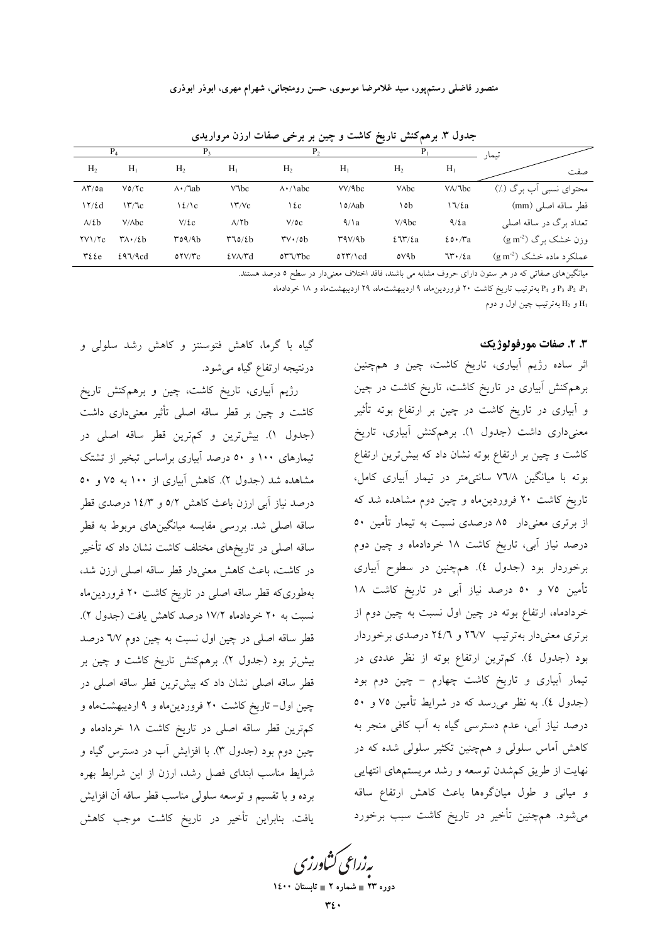|                                 |                               |                              |                     | Р,                              |            | P.             |                                     | تىمار                           |  |  |
|---------------------------------|-------------------------------|------------------------------|---------------------|---------------------------------|------------|----------------|-------------------------------------|---------------------------------|--|--|
| H <sub>2</sub>                  | H <sub>1</sub>                | H <sub>2</sub>               | H <sub>1</sub>      | H <sub>2</sub>                  | $H_1$      | H <sub>2</sub> | $H_1$                               | صفت                             |  |  |
| $\Lambda^{\star}/\mathfrak{0}a$ | V0/Vc                         | $\Lambda \cdot / \lambda$ ab | $V$ $bc$            | $\Lambda$ $\cdot$ / \ abc       | VV/9bc     | <b>V</b> Abc   | $V/\lambda$ bc                      | محتوای نسبی آب برگ (٪)          |  |  |
| 17/2d                           | 177c                          | $\frac{2}{\ell}$             | $\Upsilon/\Upsilon$ | ١٤c                             | o∕∧ab\     | ۱٥b            | $\sqrt{\2}$                         | قطر ساقه اصل <sub>ی</sub> (mm)  |  |  |
| $\Lambda/\mathcal{E}$           | $V/\lambda bc$                | $V/\epsilon$ c               | $\lambda$ /۲ $b$    | $V/\mathfrak{0}c$               | $\sqrt{a}$ | V/9bc          | $\frac{4}{2}a$                      | تعداد برگ در ساقه اصلی          |  |  |
| $\frac{1}{\sqrt{c}}$            | $\Upsilon\Lambda$ $\cdot$ /2b | T09/9b                       | $T\sim/2b$          | $\mathsf{rv} \cdot \mathsf{ob}$ | ۳۹۷/۹b     | $27\%$         | $20 \cdot$ $\pi$ a                  | $(g m^2)$ وزن خشک برگ $(g m^2)$ |  |  |
| $\forall$ { { $\epsilon$        | 297/9cd                       | OTV/TC                       | <b>EVA/Md</b>       | $o r \gamma r b c$              | $057/1$ cd | ovab           | $\mathcal{N} \cdot / \varepsilon$ a | $(g m^{-2})$ عملکر د ماده خشک   |  |  |

جدول ۳. برهم کنش تاریخ کاشت و چین بر برخی صفات ارزن مرواریدی

میانگینهای صفاتی که در هر ستون دارای حروف مشابه می باشند، فاقد اختلاف معنی دار در سطح ٥ درصد هستند.

P3 ،P2 ،P1 و P4 بهترتیب تاریخ کاشت ۲۰ فروردین ماه، ۹ اردیبهشت ماه، ۲۹ اردیبهشت ماه و ۱۸ خردادماه

H<sub>1</sub> و H<sub>2</sub> به ترتيب چين اول و دوم

# ۳. ۲. صفات مورفولوژیک

اثر ساده رژیم آبیاری، تاریخ کاشت، چین و همچنین برهمکنش آبیاری در تاریخ کاشت، تاریخ کاشت در چین و آبیاری در تاریخ کاشت در چین بر ارتفاع بوته تأثیر معنیداری داشت (جدول ۱). برهمکنش آبیاری، تاریخ کاشت و چین بر ارتفاع بوته نشان داد که بیشترین ارتفاع بوته با میانگین ۷٦/۸ سانتی متر در تیمار آبیاری کامل، تاریخ کاشت ۲۰ فروردین.اه و چین دوم مشاهده شد که از برتری معنیدار ۸۵ درصدی نسبت به تیمار تأمین ۵۰ درصد نیاز آبی، تاریخ کاشت ۱۸ خردادماه و چین دوم برخوردار بود (جدول ٤). همچنین در سطوح آبیاری تأمين ٧٥ و ٥٠ درصد نياز آبي در تاريخ كاشت ١٨ خردادماه، ارتفاع بوته در چین اول نسبت به چین دوم از برتری معنیدار بهترتیب ۲٦/۷ و ۲٤/٦ درصدی برخوردار بود (جدول ٤). كم ترين ارتفاع بوته از نظر عددى در تیمار آبیاری و تاریخ کاشت چهارم - چین دوم بود (جدول ٤). به نظر می رسد که در شرایط تأمین ٧٥ و ٥٠ درصد نیاز آبی، عدم دسترسی گیاه به آب کافی منجر به کاهش آماس سلولی و همچنین تکثیر سلولی شده که در نهایت از طریق کمشدن توسعه و رشد مریستمهای انتهایی و میانی و طول میانگرهها باعث کاهش ارتفاع ساقه می شود. هم چنین تأخیر در تاریخ کاشت سبب برخورد

گیاه با گرما، کاهش فتوسنتز و کاهش رشد سلولی و درنتیجه ارتفاع گیاه میشود.

رژیم آبیاری، تاریخ کاشت، چین و برهمکنش تاریخ کاشت و چین بر قطر ساقه اصلی تأثیر معنیداری داشت (جدول ۱). بیش ترین و کم ترین قطر ساقه اصلی در تیمارهای ۱۰۰ و ۵۰ درصد آبیاری براساس تبخیر از تشتک مشاهده شد (جدول ٢). کاهش آبیاری از ۱۰۰ به ٧٥ و ٥٠ درصد نیاز آبی ارزن باعث کاهش ٥/٢ و ١٤/٣ درصدی قطر ساقه اصل<sub>ی</sub> شد. بررس<sub>ی</sub> مقایسه میانگینهای مربوط به قطر ساقه اصلی در تاریخهای مختلف کاشت نشان داد که تأخیر در كاشت، باعث كاهش معنى دار قطر ساقه اصلى ارزن شد، بهطوریکه قطر ساقه اصلی در تاریخ کاشت ۲۰ فروردین.اه نسبت به ۲۰ خردادماه ۱۷/۲ درصد کاهش یافت (جدول ۲). قطر ساقه اصلی در چین اول نسبت به چین دوم ٦٧ درصد بیش تر بود (جدول ۲). برهمکنش تاریخ کاشت و چین بر قطر ساقه اصلی نشان داد که بیشترین قطر ساقه اصل<sub>ی</sub> در چین اول- تاریخ کاشت ۲۰ فروردینِماه و ۹ اردیبهشتِماه و کم ترین قطر ساقه اصلی در تاریخ کاشت ۱۸ خردادماه و چین دوم بود (جدول ۳). با افزایش آب در دسترس گیاه و شرایط مناسب ابتدای فصل رشد، ارزن از این شرایط بهره برده و با تقسیم و توسعه سلولی مناسب قطر ساقه آن افزایش يافت. بنابراين تأخير در تاريخ كاشت موجب كاهش

بەزراعى ڭشاورزى

دوره ۲۳ = شماره ۲ = تابستان ۱٤۰۰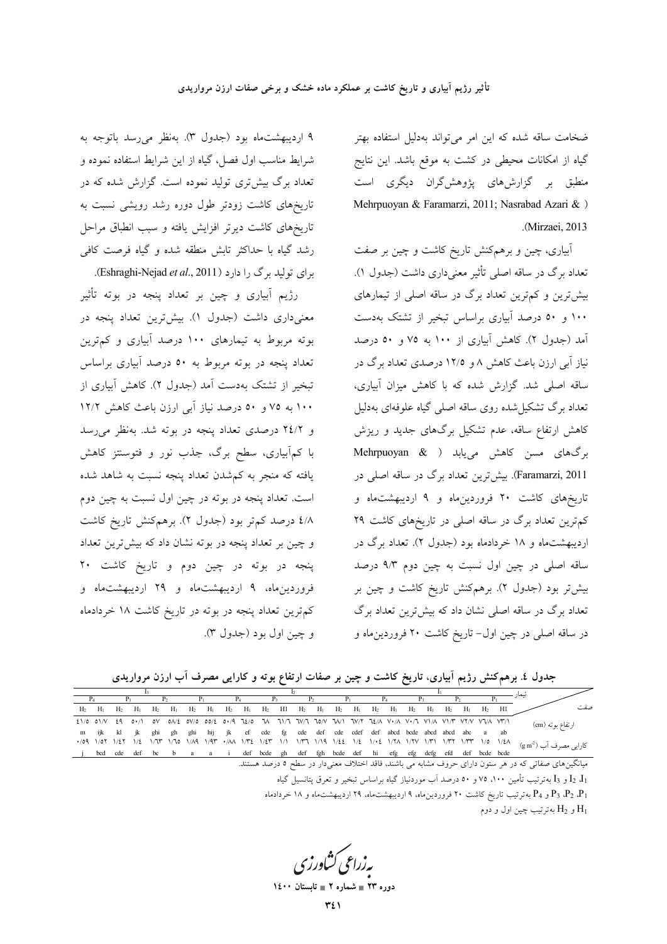ضخامت ساقه شده كه اين امر مى تواند بهدليل استفاده بهتر گیاه از امکانات محیطی در کشت به موقع باشد. این نتایج منطبق بر گزارشهای پژوهشگران دیگری است Mehrpuoyan & Faramarzi, 2011; Nasrabad Azari & ) .(Mirzaei, 2013).

آبیاری، چین و برهمکنش تاریخ کاشت و چین بر صفت تعداد برگ در ساقه اصلی تأثیر معنیداری داشت (جدول ۱). بیش ترین و کم ترین تعداد برگ در ساقه اصلی از تیمارهای ۱۰۰ و ۵۰ درصد آبیاری براساس تبخیر از تشتک بهدست آمد (جدول ۲). کاهش آبیاری از ۱۰۰ به ۷۵ و ۵۰ درصد نیاز آبی ارزن باعث کاهش ۸ و ۱۲/۵ درصدی تعداد برگ در ساقه اصلی شد. گزارش شده که با کاهش میزان آبیاری، تعداد برگ تشکیل شده روی ساقه اصلی گیاه علوفهای بهدلیل کاهش ارتفاع ساقه، عدم تشکیل برگهای جدید و ریزش برگهای مسن کاهش مییابد ( Mehrpuoyan & Faramarzi, 2011). بیش ترین تعداد برگ در ساقه اصلی در تاریخهای کاشت ۲۰ فروردین ماه و ۹ اردیبهشت ماه و کم ترین تعداد برگ در ساقه اصلی در تاریخهای کاشت ۲۹ اردیبهشتماه و ۱۸ خردادماه بود (جدول ۲). تعداد برگ در ساقه اصلی در چین اول نسبت به چین دوم ۹/۳ درصد بیش تر بود (جدول ۲). برهمکنش تاریخ کاشت و چین بر تعداد برگ در ساقه اصلی نشان داد که بیش ترین تعداد برگ در ساقه اصلی در چین اول- تاریخ کاشت ۲۰ فروردین ماه و

۹ اردیبهشتماه بود (جدول ۳). بهنظر می رسد باتوجه به شرايط مناسب اول فصل، گياه از اين شرايط استفاده نموده و تعداد برگ بیشتری تولید نموده است. گزارش شده که در تاریخهای کاشت زودتر طول دوره رشد رویشی نسبت به تاریخهای کاشت دیرتر افزایش یافته و سبب انطباق مراحل رشد گیاه با حداکثر تابش منطقه شده و گیاه فرصت کافی برای تولید برگ را دارد (Eshraghi-Nejad et al., 2011).

رژیم اَبیاری و چین بر تعداد پنجه در بوته تأثیر معنیداری داشت (جدول ۱). بیشترین تعداد پنجه در بوته مربوط به تیمارهای ۱۰۰ درصد آبیاری و کم ترین تعداد پنجه در بوته مربوط به ٥٠ درصد آبیاری براساس تبخیر از تشتک بهدست آمد (جدول ۲). کاهش آبیاری از ۱۰۰ به ۷۵ و ۵۰ درصد نیاز آبی ارزن باعث کاهش ۱۲/۲ و ۲٤/۲ درصدی تعداد پنجه در بوته شد. بهنظر میرسد با کمآبیاری، سطح برگ، جذب نور و فتوسنتز کاهش یافته که منجر به کمشدن تعداد پنجه نسبت به شاهد شده است. تعداد پنجه در بوته در چین اول نسبت به چین دوم ٤/٨ درصد كم تر بود (جدول ٢). برهمكنش تاريخ كاشت و چین بر تعداد پنجه در بوته نشان داد که بیشترین تعداد پنجه در بوته در چین دوم و تاریخ کاشت ۲۰ فروردین ماه، ۹ اردیبهشت ماه و ۲۹ اردیبهشت ماه و کم ترین تعداد پنجه در بوته در تاریخ کاشت ۱۸ خردادماه و چين اول بود (جدول ٣).

جدول ٤. برهمکنش رژیم اَبیاری، تاریخ کاشت و چین بر صفات ارتفاع بوته و کارایی مصرف اَب ارزن مرواریدی

|                                                                                                                     |  | <b>H1</b> | $H_1$ $H_2$ |               | H <sub>2</sub> | $H_1$ | $H_2$ | $H_2$ $H_1$ |  |  |  |  | $H1$ $H_2$ $H_1$ $H_2$ $H_1$ | $H_2$                                                                                                                       | $H_1$ | $H_2$ | $H_2$ $H_1$ |     | $H_1$ | H <sub>2</sub> | $H_1$                    | H <sub>2</sub> | $H_2$ $H_1$ |   |
|---------------------------------------------------------------------------------------------------------------------|--|-----------|-------------|---------------|----------------|-------|-------|-------------|--|--|--|--|------------------------------|-----------------------------------------------------------------------------------------------------------------------------|-------|-------|-------------|-----|-------|----------------|--------------------------|----------------|-------------|---|
| ارتفاع بوته (cm)                                                                                                    |  |           |             |               |                |       |       |             |  |  |  |  |                              | 0V 0A/E 0V/0 00/E 0+/9 7E/0 "UN "II/7 7V/7 70/V "UV/1 7E/A V+/A V+/7 VI/A VI/T VY/V V7/A VT/I                               |       |       |             |     |       |                | $21/0$ $01/N$ $29$ $0 N$ |                |             |   |
|                                                                                                                     |  |           |             |               |                |       |       |             |  |  |  |  |                              | jk ef cde fg cde def cde cdef def abcd bcde abcd abcd abc a ab                                                              |       |       | hij         | ghi | gh    | ghi            | ik                       | kl             | ijk         | m |
| كارايي مصرف آب (2m²)                                                                                                |  | 1/28      |             |               |                |       |       |             |  |  |  |  |                              | $\cdot$ /09 1/0٢ 1/2٢ 1/2 1/7٣ 1/70 1/49 1/9٣ $\cdot$ /AA 1/٣٤ 1/2٣ 1/1 1/٣٦ 1/19 1/22 1/2 1/3 1/74 1/77 1/٣١ 1/٣٢ 1/٣٣ 1/0 |       |       |             |     |       |                |                          |                |             |   |
|                                                                                                                     |  |           |             | def bcde bcde |                |       |       |             |  |  |  |  |                              | bed ede def be b a a i def bede gh def fgh bede def hi efg efg defg efd                                                     |       |       |             |     |       |                |                          |                |             |   |
| میانگینهای صفاتی که در هر ستون دارای حروف مشابه می باشند، فاقد اختلاف معنیدار در سطح ۵ درصد هستند.                  |  |           |             |               |                |       |       |             |  |  |  |  |                              |                                                                                                                             |       |       |             |     |       |                |                          |                |             |   |
| د الله ج $I_3$ و ج $I_4$ به ترتیب تأمین ۱۰۰، ۷۵ و ۱۰۰ درصد آب موردنیاز گیاه براساس تبخیر و تعرفی بتانسیل گیاه $I_2$ |  |           |             |               |                |       |       |             |  |  |  |  |                              |                                                                                                                             |       |       |             |     |       |                |                          |                |             |   |

و P<sub>4</sub> بهترتیب تاریخ کاشت ۲۰ فروردین۱۵، ۹ اردیبهشتماه، ۲۹ اردیبهشتماه و ۱۸ خردادماه و ۱۸ خردادماه و است $P_1$ 

و  $\rm{H}_{2}$  بهترتیب چین اول و دوم  $\rm{H}_{1}$ 

پەزراعى كشاورز

دوره ۲۳ ∎ شماره ۲ ∎ تابه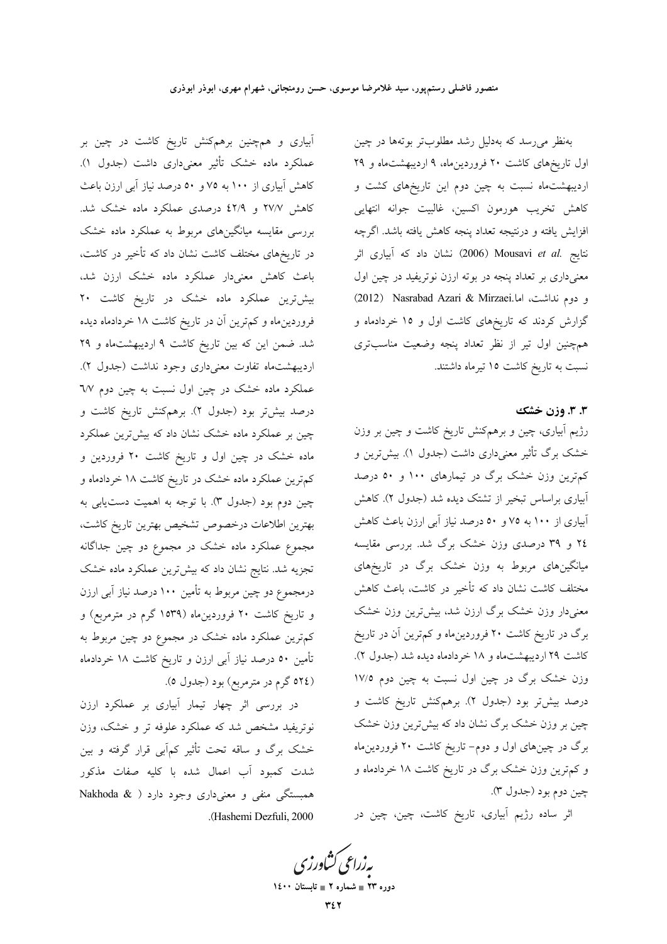بهنظر می رسد که بهدلیل رشد مطلوبتر بوتهها در چین اول تاریخهای کاشت ۲۰ فروردین ماه، ۹ اردیبهشت ماه و ۲۹ اردیبهشتماه نسبت به چین دوم این تاریخهای کشت و كاهش تخريب هورمون اكسين، غالبيت جوانه انتهايى افزايش يافته و درنتيجه تعداد پنجه كاهش يافته باشد. اگرچه نتايج .Mousavi et al (2006) نشان داد كه آبياري اثر معنیداری بر تعداد پنجه در بوته ارزن نوتریفید در چین اول و دوم نداشت، اما.2012) Nasrabad Azari & Mirzaei گزارش کردند که تاریخهای کاشت اول و ۱۵ خردادماه و همچنین اول تیر از نظر تعداد پنجه وضعیت مناسبتری نسبت به تاریخ کاشت ۱۵ تیرماه داشتند.

### ۳.۳ وزن خشک

رژیم ابیاری، چین و برهمکنش تاریخ کاشت و چین بر وزن خشک برگ تأثیر معنیداری داشت (جدول ۱). بیش ترین و کمترین وزن خشک برگ در تیمارهای ۱۰۰ و ۵۰ درصد آبیاری براساس تبخیر از تشتک دیده شد (جدول ۲). کاهش آبیاری از ۱۰۰ به ۷۵ و ۵۰ درصد نیاز آبی ارزن باعث کاهش ٢٤ و ٣٩ درصدي وزن خشک برگ شد. بررسي مقايسه میانگینهای مربوط به وزن خشک برگ در تاریخهای مختلف کاشت نشان داد که تأخیر در کاشت، باعث کاهش معنیدار وزن خشک برگ ارزن شد، بیشترین وزن خشک برگ در تاریخ کاشت ۲۰ فروردین.اه و کمترین آن در تاریخ كاشت ٢٩ ارديبهشتماه و ١٨ خردادماه ديده شد (جدول ٢). وزن خشک برگ در چین اول نسبت به چین دوم ۱۷/۵ درصد بیشتر بود (جدول ۲). برهمکنش تاریخ کاشت و چین بر وزن خشک برگ نشان داد که بیشترین وزن خشک برگ در چینهای اول و دوم- تاریخ کاشت ۲۰ فروردین.اه و کم ترین وزن خشک برگ در تاریخ کاشت ۱۸ خردادماه و چين دوم بود (جدول ٣).

اثر ساده رژیم آبیاری، تاریخ کاشت، چین، چین در

آبیاری و همچنین برهمکنش تاریخ کاشت در چین بر عملکرد ماده خشک تأثیر معنیداری داشت (جدول ۱). کاهش آبیاری از ۱۰۰ به ۷۵ و ۵۰ درصد نیاز آبی ارزن باعث کاهش ۲۷/۷ و ٤٢/۹ درصدی عملکرد ماده خشک شد. بررسی مقایسه میانگینهای مربوط به عملکرد ماده خشک در تاریخهای مختلف کاشت نشان داد که تأخیر در کاشت، باعث کاهش معنیدار عملکرد ماده خشک ارزن شد، بیش ترین عملکرد ماده خشک در تاریخ کاشت ۲۰ فروردینِماه و کم ترین آن در تاریخ کاشت ۱۸ خردادماه دیده شد. ضمن این که بین تاریخ کاشت ۹ اردیبهشتماه و ۲۹ اردیبهشتماه تفاوت معنیداری وجود نداشت (جدول ۲). عملکرد ماده خشک در چین اول نسبت به چین دوم ٦/٧ درصد بیشتر بود (جدول ۲). برهمکنش تاریخ کاشت و چین بر عملکرد ماده خشک نشان داد که بیشترین عملکرد ماده خشک در چین اول و تاریخ کاشت ۲۰ فروردین و کمترین عملکرد ماده خشک در تاریخ کاشت ۱۸ خردادماه و چین دوم بود (جدول ۳). با توجه به اهمیت دستیابی به بهترين اطلاعات درخصوص تشخيص بهترين تاريخ كاشت، مجموع عملکرد ماده خشک در مجموع دو چین جداگانه تجزیه شد. نتایج نشان داد که بیشترین عملکرد ماده خشک درمجموع دو چین مربوط به تأمین ۱۰۰ درصد نیاز آبی ارزن و تاریخ کاشت ۲۰ فروردینِماه (۱۵۳۹ گرم در مترمربِع) و کم;ترین عملکرد ماده خشک در مجموع دو چین مربوط به تأمین ٥٠ درصد نیاز آبی ارزن و تاریخ کاشت ١٨ خردادماه (٥٢٤ گرم در مترمربع) بود (جدول ٥).

در بررسی اثر چهار تیمار آبیاری بر عملکرد ارزن نوتریفید مشخص شد که عملکرد علوفه تر و خشک، وزن خشک برگ و ساقه تحت تأثیر کمآبی قرار گرفته و بین .<br>شدت کمبود آب اعمال شده با کلیه صفات مذکور همبستگی منفی و معنیداری وجود دارد ( Nakhoda & .(Hashemi Dezfuli, 2000)

بەزراعى ڭشاورز دوره ۲۳ = شماره ۲ = تابستان ۱٤۰۰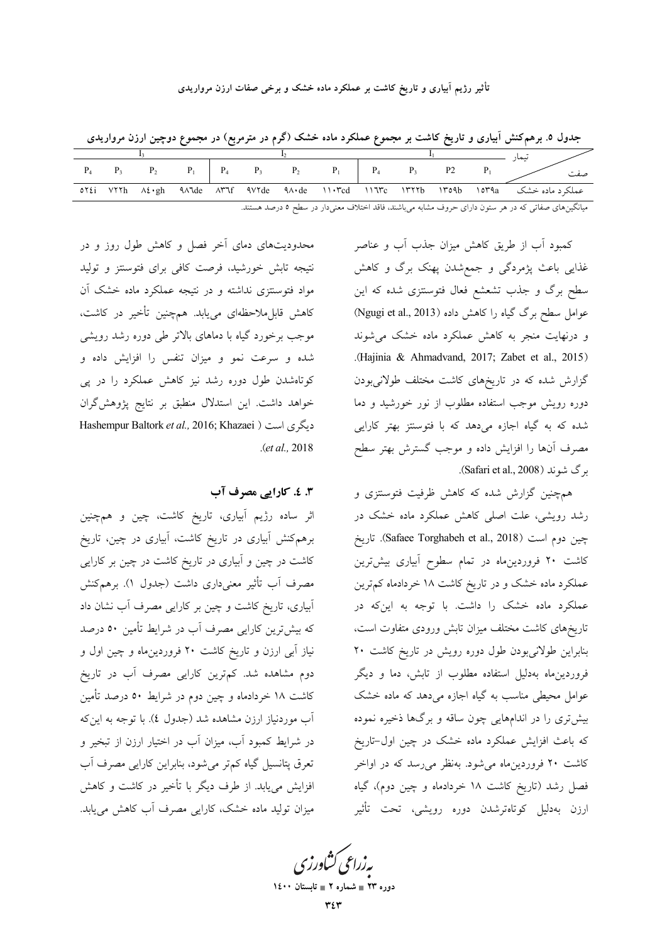### تأثیر رژیم آبیاری و تاریخ کاشت بر عملکرد ماده خشک و برخی صفات ارزن مرواریدی

جدول ۵. برهمکنش اَبیاری و تاریخ کاشت بر مجموع عملکرد ماده خشک (گرم در مترمربع) در مجموع دوچین ارزن مرواریدی

| $P_4$ | P <sub>3</sub> |  |  | $P_2$ $P_1$ $P_4$ $P_3$ $P_2$ $P_1$ $P_4$ |  | $P_3$ $P_2$ |  | صفت |
|-------|----------------|--|--|-------------------------------------------|--|-------------|--|-----|
|       |                |  |  |                                           |  |             |  |     |

میانگینهای صفاتی که در هر ستون دارای حروف مشابه میباشند، فاقد اختلاف معنیدار در سطح ٥ درصد هستند.

کمبود آب از طریق کاهش میزان جذب آب و عناصر غذایی باعث پژمردگی و جمعشدن پهنک برگ و کاهش سطح برگ و جذب تشعشع فعال فتوستتزى شده كه اين عوامل سطح برگ گیاه را کاهش داده (Ngugi et al., 2013) و درنهایت منجر به کاهش عملکرد ماده خشک می شوند .(Hajinia & Ahmadvand, 2017; Zabet et al., 2015) گزارش شده که در تاریخهای کاشت مختلف طولانیبودن دوره رویش موجب استفاده مطلوب از نور خورشید و دما شده که به گیاه اجازه میدهد که با فتوسنتز بهتر کارایی مصرف آنها را افزایش داده و موجب گسترش بهتر سطح برگ شوند (Safari et al., 2008).

همچنین گزارش شده که کاهش ظرفیت فتوستتزی و رشد رویشی، علت اصلی کاهش عملکرد ماده خشک در چين دوم است (Safaee Torghabeh et al., 2018). تاريخ کاشت ۲۰ فروردینِماه در تمام سطوح آبیاری بیشترین عملکرد ماده خشک و در تاریخ کاشت ۱۸ خردادماه کم ترین عملکرد ماده خشک را داشت. با توجه به اینکه در تاریخهای کاشت مختلف میزان تابش ورودی متفاوت است، بنابراین طولانیبودن طول دوره رویش در تاریخ کاشت ۲۰ فروردینِماه بهدلیل استفاده مطلوب از تابش، دما و دیگر عوامل محیطی مناسب به گیاه اجازه می دهد که ماده خشک بیش تری را در اندامهایی چون ساقه و برگها ذخیره نموده که باعث افزایش عملکرد ماده خشک در چین اول-تاریخ کاشت ۲۰ فروردینِماه میشود. بهنظر می رسد که در اواخر فصل رشد (تاریخ کاشت ۱۸ خردادماه و چین دوم)، گیاه ارزن بەدليل كوتاەترشدن دورە رويشى، تحت تأثير

محدودیتهای دمای أخر فصل و کاهش طول روز و در نتیجه تابش خورشید، فرصت کافی برای فتوسنتز و تولید مواد فتوستتزی نداشته و در نتیجه عملکرد ماده خشک آن کاهش قابل.ملاحظهای مییابد. همچنین تأخیر در کاشت، موجب برخورد گیاه با دماهای بالاتر طی دوره رشد رویشی شده و سرعت نمو و میزان تنفس را افزایش داده و کوتاهشدن طول دوره رشد نیز کاهش عملکرد را در پی خواهد داشت. این استدلال منطبق بر نتایج پژوهش گران Hashempur Baltork et al., 2016; Khazaei ) ديگرى است  $. (et al., 2018)$ 

## 3. ٤. كارايي مصرف آب

اثر ساده رژیم آبیاری، تاریخ کاشت، چین و همچنین برهم کنش اَبیاری در تاریخ کاشت، اَبیاری در چین، تاریخ کاشت در چین و آبیاری در تاریخ کاشت در چین بر کارایی مصرف أب تأثير معنىدارى داشت (جدول ١). برهمكنش آبیاری، تاریخ کاشت و چین بر کارایی مصرف آب نشان داد که بیشترین کارایی مصرف آب در شرایط تأمین ٥٠ درصد نیاز آبی ارزن و تاریخ کاشت ۲۰ فروردینِماه و چین اول و دوم مشاهده شد. کمترین کارایی مصرف آب در تاریخ کاشت ۱۸ خردادماه و چین دوم در شرایط ۵۰ درصد تأمین آب موردنیاز ارزن مشاهده شد (جدول ٤). با توجه به اینکه در شرایط کمبود آب، میزان آب در اختیار ارزن از تبخیر و تعرق پتانسیل گیاه کمتر میشود، بنابراین کارایی مصرف آب افزایش می یابد. از طرف دیگر با تأخیر در کاشت و کاهش میزان تولید ماده خشک، کارایی مصرف آب کاهش می یابد.

بەزراعى كشاورزى

دوره ۲۳ = شماره ۲ = تابستان ۱٤۰۰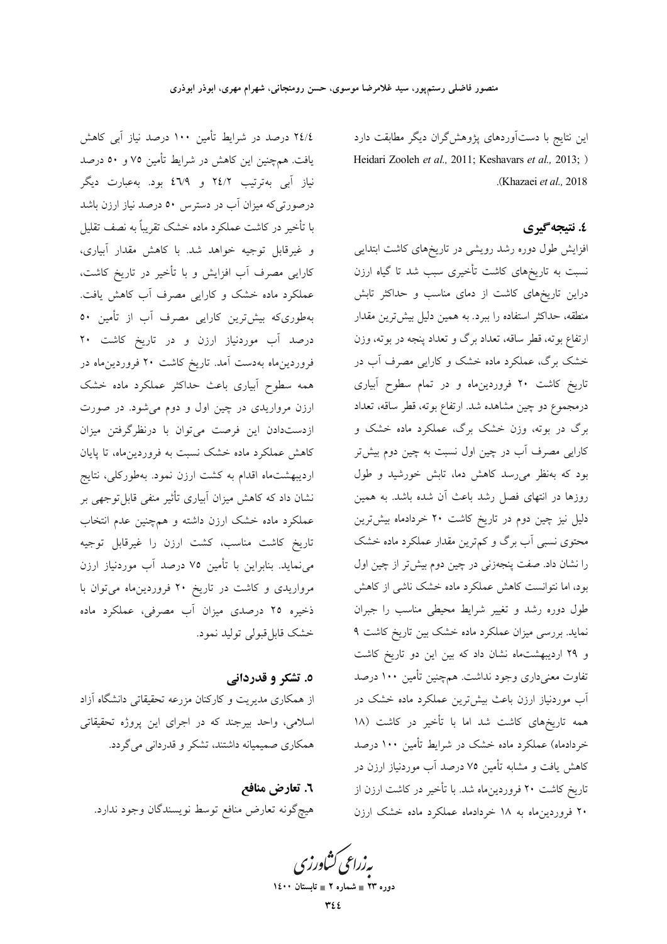این نتایج با دستآوردهای پژوهشگران دیگر مطابقت دارد Heidari Zooleh et al., 2011; Keshavars et al., 2013; ) .(Khazaei et al., 2018).

# ٤. نتىجەگىرى

افزایش طول دوره رشد رویشی در تاریخهای کاشت ابتدایی نسبت به تاریخهای کاشت تأخیری سبب شد تا گیاه ارزن دراین تاریخهای کاشت از دمای مناسب و حداکثر تابش منطقه، حداکثر استفاده را ببرد. به همین دلیل بیشترین مقدار ارتفاع بوته، قطر ساقه، تعداد برگ و تعداد پنجه در بوته، وزن خشک برگ، عملکرد ماده خشک و کارایی مصرف آب در تاریخ کاشت ۲۰ فروردین.اه و در تمام سطوح آبیاری درمجموع دو چین مشاهده شد. ارتفاع بوته، قطر ساقه، تعداد برگ در بوته، وزن خشک برگ، عملکرد ماده خشک و کارایی مصرف آب در چین اول نسبت به چین دوم بیشتر بود که بهنظر میرسد کاهش دما، تابش خورشید و طول روزها در انتهای فصل رشد باعث آن شده باشد. به همین دلیل نیز چین دوم در تاریخ کاشت ۲۰ خردادماه بیش ترین محتوی نسبی آب برگ و کم ترین مقدار عملکرد ماده خشک را نشان داد. صفت پنجهزنی در چین دوم بیش تر از چین اول بود، اما نتوانست کاهش عملکرد ماده خشک ناشی از کاهش طول دوره رشد و تغییر شرایط محیطی مناسب را جبران نماید. بررسی میزان عملکرد ماده خشک بین تاریخ کاشت ۹ و ٢٩ ارديبهشت ماه نشان داد كه بين اين دو تاريخ كاشت تفاوت معنیداری وجود نداشت. همچنین تأمین ۱۰۰ درصد آب موردنیاز ارزن باعث بیشترین عملکرد ماده خشک در همه تاریخهای کاشت شد اما با تأخیر در کاشت (۱۸ خردادماه) عملکرد ماده خشک در شرایط تأمین ۱۰۰ درصد کاهش یافت و مشابه تأمین ۷۵ درصد آب موردنیاز ارزن در تاریخ کاشت ۲۰ فروردینِماه شد. با تأخیر در کاشت ارزن از ۲۰ فروردین ماه به ۱۸ خردادماه عملکرد ماده خشک ارزن

٢٤/٤ درصد در شرايط تأمين ١٠٠ درصد نياز آبي كاهش یافت. همچنین این کاهش در شرایط تأمین ۷۵ و ۵۰ درصد نیاز آبی بهترتیب ۲٤/۲ و ٤٦/٩ بود. بهعبارت دیگر درصورتیکه میزان آب در دسترس ۵۰ درصد نیاز ارزن باشد با تأخیر در کاشت عملکرد ماده خشک تقریباً به نصف تقلیل و غیرقابل توجیه خواهد شد. با کاهش مقدار آبیاری، کارایی مصرف آب افزایش و با تأخیر در تاریخ کاشت، عملکرد ماده خشک و کارایی مصرف آب کاهش یافت. بهطوریکه بیشترین کارایی مصرف آب از تأمین ٥٠ درصد آب موردنیاز ارزن و در تاریخ کاشت ۲۰ فروردین.ماه بهدست آمد. تاریخ کاشت ۲۰ فروردین.ماه در همه سطوح آبیاری باعث حداکثر عملکرد ماده خشک ارزن مرواریدی در چین اول و دوم میشود. در صورت ازدستدادن این فرصت میتوان با درنظرگرفتن میزان کاهش عملکرد ماده خشک نسبت به فروردین.اه، تا پایان اردیبهشت.اه اقدام به کشت ارزن نمود. بهطورکلی، نتایج نشان داد که کاهش میزان آبیاری تأثیر منفی قابل توجهی بر عملکرد ماده خشک ارزن داشته و همچنین عدم انتخاب تاریخ کاشت مناسب، کشت ارزن را غیرقابل توجیه می نماید. بنابراین با تأمین ۷۵ درصد آب موردنیاز ارزن مرواریدی و کاشت در تاریخ ۲۰ فروردین ماه می توان با .<br>ذخیره ۲۵ درصدی میزان آب مصرفی، عملکرد ماده خشک قابل قبولي توليد نمود.

٥. تشکر و قدردانی از همکاری مدیریت و کارکنان مزرعه تحقیقاتی دانشگاه آزاد اسلامی، واحد بیرجند که در اجرای این پروژه تحقیقاتی همکاری صمیمیانه داشتند، تشکر و قدردانی می گردد.

٦. تعارض منافع هيچ گونه تعارض منافع توسط نويسندگان وجود ندارد.

بەزراعى ڭشاورزى

دوره ۲۳ = شماره ۲ = تابستان ۱٤۰۰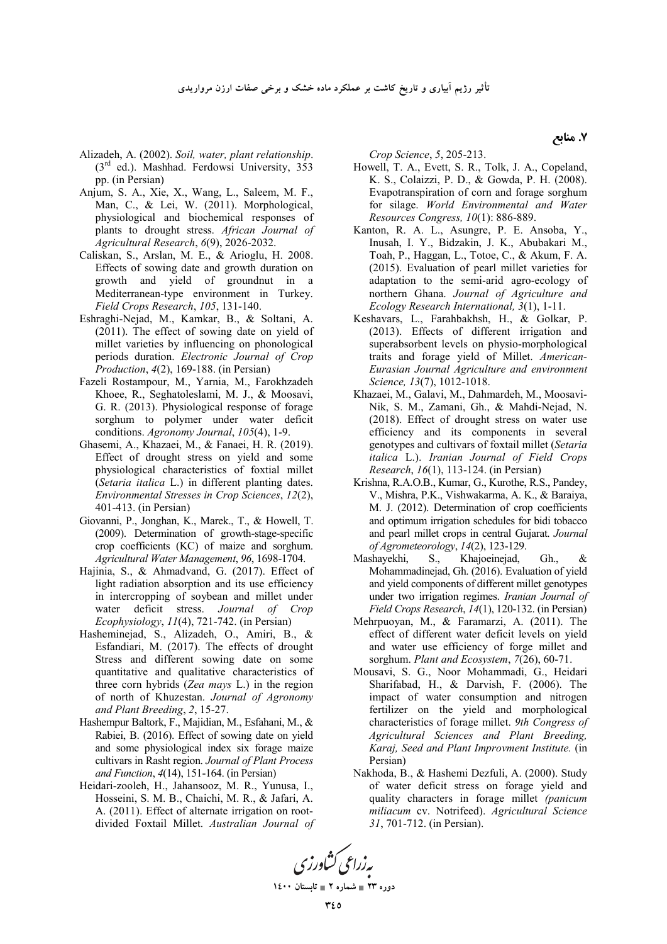- Alizadeh, A. (2002). *Soil, water, plant relationship*. (3rd ed.). Mashhad. Ferdowsi University, 353 pp. (in Persian)
- Anjum, S. A., Xie, X., Wang, L., Saleem, M. F., Man, C., & Lei, W. (2011). Morphological, physiological and biochemical responses of plants to drought stress. *African Journal of Agricultural Research*, *6*(9), 2026-2032.
- Caliskan, S., Arslan, M. E., & Arioglu, H. 2008. Effects of sowing date and growth duration on growth and yield of groundnut in a Mediterranean-type environment in Turkey. *Field Crops Research*, *105*, 131-140.
- Eshraghi-Nejad, M., Kamkar, B., & Soltani, A. (2011). The effect of sowing date on yield of millet varieties by influencing on phonological periods duration. *Electronic Journal of Crop Production*, *4*(2), 169-188. (in Persian)
- Fazeli Rostampour, M., Yarnia, M., Farokhzadeh Khoee, R., Seghatoleslami, M. J., & Moosavi, G. R. (2013). Physiological response of forage sorghum to polymer under water deficit conditions. *Agronomy Journal*, *105*(4), 1-9.
- Ghasemi, A., Khazaei, M., & Fanaei, H. R. (2019). Effect of drought stress on yield and some physiological characteristics of foxtial millet (*Setaria italica* L.) in different planting dates. *Environmental Stresses in Crop Sciences*, *12*(2), 401-413. (in Persian)
- Giovanni, P., Jonghan, K., Marek., T., & Howell, T. (2009). Determination of growth-stage-specific crop coefficients (KC) of maize and sorghum. *Agricultural Water Management*, *96*, 1698-1704.
- Hajinia, S., & Ahmadvand, G. (2017). Effect of light radiation absorption and its use efficiency in intercropping of soybean and millet under water deficit stress. *Journal of Crop Ecophysiology*, *11*(4), 721-742. (in Persian)
- Hasheminejad, S., Alizadeh, O., Amiri, B., & Esfandiari, M. (2017). The effects of drought Stress and different sowing date on some quantitative and qualitative characteristics of three corn hybrids (*Zea mays* L.) in the region of north of Khuzestan. *Journal of Agronomy and Plant Breeding*, *2*, 15-27.
- Hashempur Baltork, F., Majidian, M., Esfahani, M., & Rabiei, B. (2016). Effect of sowing date on yield and some physiological index six forage maize cultivars in Rasht region. *Journal of Plant Process and Function*, *4*(14), 151-164. (in Persian)
- Heidari-zooleh, H., Jahansooz, M. R., Yunusa, I., Hosseini, S. M. B., Chaichi, M. R., & Jafari, A. A. (2011). Effect of alternate irrigation on rootdivided Foxtail Millet. *Australian Journal of*

*Crop Science*, *5*, 205-213.

- Howell, T. A., Evett, S. R., Tolk, J. A., Copeland, K. S., Colaizzi, P. D., & Gowda, P. H. (2008). Evapotranspiration of corn and forage sorghum for silage. *World Environmental and Water Resources Congress, 10*(1): 886-889.
- Kanton, R. A. L., Asungre, P. E. Ansoba, Y., Inusah, I. Y., Bidzakin, J. K., Abubakari M., Toah, P., Haggan, L., Totoe, C., & Akum, F. A. (2015). Evaluation of pearl millet varieties for adaptation to the semi-arid agro-ecology of northern Ghana. *Journal of Agriculture and Ecology Research International, 3*(1), 1-11.
- Keshavars, L., Farahbakhsh, H., & Golkar, P. (2013). Effects of different irrigation and superabsorbent levels on physio-morphological traits and forage yield of Millet. *American-Eurasian Journal Agriculture and environment Science, 13*(7), 1012-1018.
- Khazaei, M., Galavi, M., Dahmardeh, M., Moosavi-Nik, S. M., Zamani, Gh., & Mahdi-Nejad, N. (2018). Effect of drought stress on water use efficiency and its components in several genotypes and cultivars of foxtail millet (*Setaria italica* L.). *Iranian Journal of Field Crops Research*, *16*(1), 113-124. (in Persian)
- Krishna, R.A.O.B., Kumar, G., Kurothe, R.S., Pandey, V., Mishra, P.K., Vishwakarma, A. K., & Baraiya, M. J. (2012). Determination of crop coefficients and optimum irrigation schedules for bidi tobacco and pearl millet crops in central Gujarat. *Journal of Agrometeorology*, *14*(2), 123-129.
- Mashayekhi, S., Khajoeinejad, Gh., & Mohammadinejad, Gh. (2016). Evaluation of yield and yield components of different millet genotypes under two irrigation regimes. *Iranian Journal of Field Crops Research*, *14*(1), 120-132. (in Persian)
- Mehrpuoyan, M., & Faramarzi, A. (2011). The effect of different water deficit levels on yield and water use efficiency of forge millet and sorghum. *Plant and Ecosystem*, *7*(26), 60-71.
- Mousavi, S. G., Noor Mohammadi, G., Heidari Sharifabad, H., & Darvish, F. (2006). The impact of water consumption and nitrogen fertilizer on the yield and morphological characteristics of forage millet. *9th Congress of Agricultural Sciences and Plant Breeding, Karaj, Seed and Plant Improvment Institute.* (in Persian)
- Nakhoda, B., & Hashemi Dezfuli, A. (2000). Study of water deficit stress on forage yield and quality characters in forage millet *(panicum miliacum* cv. Notrifeed). *Agricultural Science 31*, 701-712. (in Persian).



دوره ۲۳ **\_ شماره ۲ \_ تابستان ۱٤۰۰** 

**7. منابع**